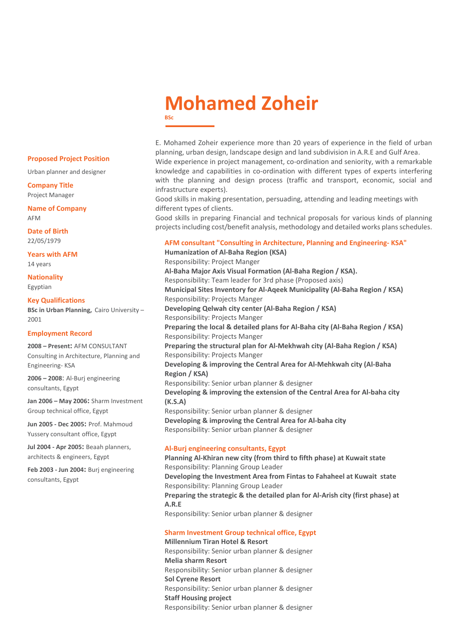# **Mohamed Zoheir BSc**

E. Mohamed Zoheir experience more than 20 years of experience in the field of urban planning, urban design, landscape design and land subdivision in A.R.E and Gulf Area. Wide experience in project management, co-ordination and seniority, with a remarkable knowledge and capabilities in co-ordination with different types of experts interfering with the planning and design process (traffic and transport, economic, social and infrastructure experts).

Good skills in making presentation, persuading, attending and leading meetings with different types of clients.

Good skills in preparing Financial and technical proposals for various kinds of planning projects including cost/benefit analysis, methodology and detailed works plans schedules.

# **AFM consultant "Consulting in Architecture, Planning and Engineering- KSA"**

**Humanization of Al-Baha Region (KSA)** Responsibility: Project Manger **Al-Baha Major Axis Visual Formation (Al-Baha Region / KSA).** Responsibility: Team leader for 3rd phase (Proposed axis) **Municipal Sites Inventory for Al-Aqeek Municipality (Al-Baha Region / KSA)** Responsibility: Projects Manger **Developing Qelwah city center (Al-Baha Region / KSA)** Responsibility: Projects Manger **Preparing the local & detailed plans for Al-Baha city (Al-Baha Region / KSA)** Responsibility: Projects Manger **Preparing the structural plan for Al-Mekhwah city (Al-Baha Region / KSA)** Responsibility: Projects Manger **Developing & improving the Central Area for Al-Mehkwah city (Al-Baha Region / KSA)** Responsibility: Senior urban planner & designer **Developing & improving the extension of the Central Area for Al-baha city (K.S.A)** Responsibility: Senior urban planner & designer **Developing & improving the Central Area for Al-baha city** Responsibility: Senior urban planner & designer

# **Al-Burj engineering consultants, Egypt**

**Planning Al-Khiran new city (from third to fifth phase) at Kuwait state**  Responsibility: Planning Group Leader **Developing the Investment Area from Fintas to Fahaheel at Kuwait state** Responsibility: Planning Group Leader **Preparing the strategic & the detailed plan for Al-Arish city (first phase) at A.R.E**  Responsibility: Senior urban planner & designer

## **Sharm Investment Group technical office, Egypt**

**Millennium Tiran Hotel & Resort** Responsibility: Senior urban planner & designer **Melia sharm Resort** Responsibility: Senior urban planner & designer **Sol Cyrene Resort**  Responsibility: Senior urban planner & designer **Staff Housing project**  Responsibility: Senior urban planner & designer

#### **Proposed Project Position**

Urban planner and designer

**Company Title** Project Manager

**Name of Company** AFM

**Date of Birth** 22/05/1979

**Years with AFM** 14 years

**Nationality** Egyptian

#### **Key Qualifications**

**BSc in Urban Planning,** Cairo University – 2001

#### **Employment Record**

**2008 – Present:** AFM CONSULTANT Consulting in Architecture, Planning and Engineering- KSA

**2006 – 2008**: Al-Burj engineering consultants, Egypt

**Jan 2006 – May 2006:** Sharm Investment Group technical office, Egypt

**Jun 2005 - Dec 2005:** Prof. Mahmoud Yussery consultant office, Egypt

**Jul 2004 - Apr 2005:** Beaah planners, architects & engineers, Egypt

**Feb 2003 - Jun 2004:** Burj engineering consultants, Egypt